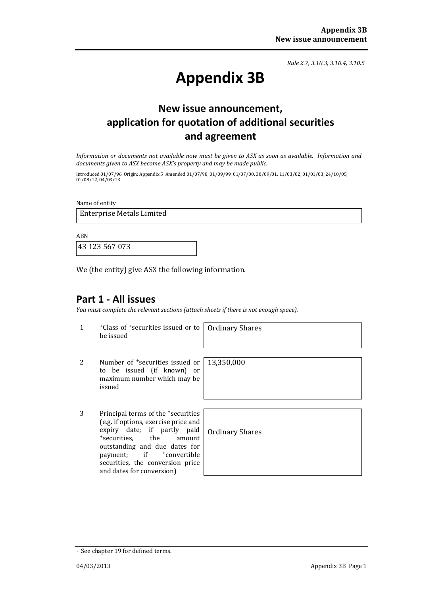*Rule 2.7, 3.10.3, 3.10.4, 3.10.5*

# **Appendix 3B**

## **New issue announcement, application for quotation of additional securities and agreement**

*Information or documents not available now must be given to ASX as soon as available. Information and documents given to ASX become ASX's property and may be made public.*

Introduced 01/07/96 Origin: Appendix 5 Amended 01/07/98, 01/09/99, 01/07/00, 30/09/01, 11/03/02, 01/01/03, 24/10/05, 01/08/12, 04/03/13

Name of entity

Enterprise Metals Limited

ABN

43 123 567 073

We (the entity) give ASX the following information.

### **Part 1 - All issues**

*You must complete the relevant sections (attach sheets if there is not enough space).*

1 +Class of +securities issued or to be issued

Ordinary Shares

- 2 Number of <sup>+</sup>securities issued or to be issued (if known) or maximum number which may be issued
- 3 Principal terms of the +securities (e.g. if options, exercise price and expiry date; if partly paid<br>
+securities, the amount +securities, outstanding and due dates for<br>payment; if tonvertible +convertible securities, the conversion price and dates for conversion)

13,350,000

Ordinary Shares

<sup>+</sup> See chapter 19 for defined terms.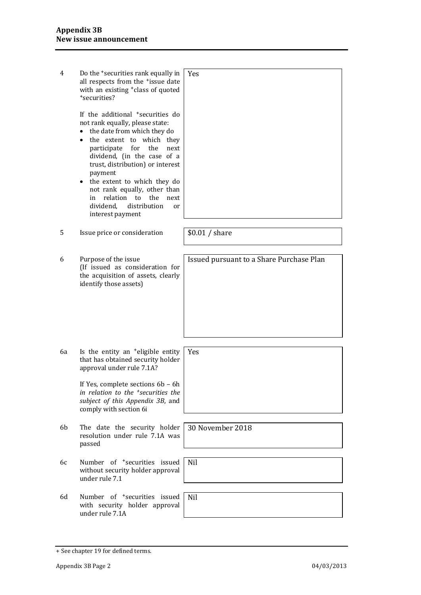| 4  | Do the <sup>+</sup> securities rank equally in<br>all respects from the *issue date<br>with an existing <sup>+</sup> class of quoted<br>*securities?                                                                                                                                                                                                                                                                                          | <b>Yes</b>                               |
|----|-----------------------------------------------------------------------------------------------------------------------------------------------------------------------------------------------------------------------------------------------------------------------------------------------------------------------------------------------------------------------------------------------------------------------------------------------|------------------------------------------|
|    | If the additional <sup>+</sup> securities do<br>not rank equally, please state:<br>the date from which they do<br>$\bullet$<br>the extent to which they<br>$\bullet$<br>for the<br>participate<br>next<br>dividend, (in the case of a<br>trust, distribution) or interest<br>payment<br>• the extent to which they do<br>not rank equally, other than<br>relation to the<br>in<br>next<br>dividend.<br>distribution<br>or<br>interest payment |                                          |
| 5  | Issue price or consideration                                                                                                                                                                                                                                                                                                                                                                                                                  | \$0.01 / share                           |
| 6  | Purpose of the issue<br>(If issued as consideration for<br>the acquisition of assets, clearly<br>identify those assets)                                                                                                                                                                                                                                                                                                                       | Issued pursuant to a Share Purchase Plan |
| 6a | Is the entity an <sup>+</sup> eligible entity<br>that has obtained security holder<br>approval under rule 7.1A?                                                                                                                                                                                                                                                                                                                               | <b>Yes</b>                               |
|    | If Yes, complete sections 6b - 6h<br>in relation to the <sup>+</sup> securities the<br>subject of this Appendix 3B, and<br>comply with section 6i                                                                                                                                                                                                                                                                                             |                                          |
| 6b | The date the security holder<br>resolution under rule 7.1A was<br>passed                                                                                                                                                                                                                                                                                                                                                                      | 30 November 2018                         |
| 6с | Number of <sup>+</sup> securities issued<br>without security holder approval<br>under rule 7.1                                                                                                                                                                                                                                                                                                                                                | <b>Nil</b>                               |
| 6d | Number of <sup>+</sup> securities issued<br>with security holder approval<br>under rule 7.1A                                                                                                                                                                                                                                                                                                                                                  | <b>Nil</b>                               |

<sup>+</sup> See chapter 19 for defined terms.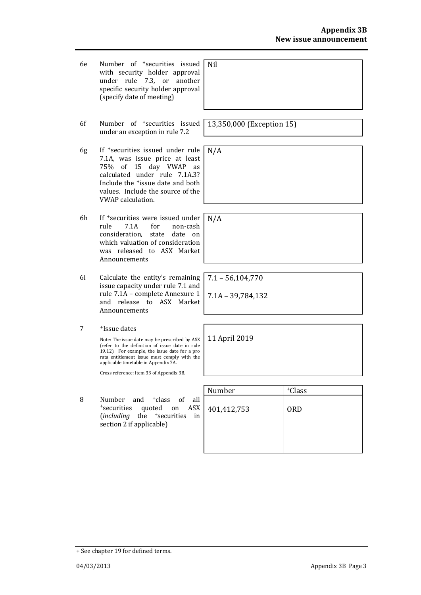- 6e Number of +securities issued with security holder approval under rule 7.3, or another specific security holder approval (specify date of meeting) Nil
- 6f Number of +securities issued under an exception in rule 7.2
- 6g If +securities issued under rule 7.1A, was issue price at least 75% of 15 day VWAP as calculated under rule 7.1A.3? Include the +issue date and both values. Include the source of the VWAP calculation.
- 6h If <sup>+</sup>securities were issued under<br>rule 7.1A for non-cash rule 7.1A for non-cash consideration, state date on which valuation of consideration was released to ASX Market Announcements
- 6i Calculate the entity's remaining issue capacity under rule 7.1 and rule 7.1A – complete Annexure 1 and release to ASX Market Announcements
- 7 + Issue dates

Note: The issue date may be prescribed by ASX (refer to the definition of issue date in rule 19.12). For example, the issue date for a pro rata entitlement issue must comply with the applicable timetable in Appendix 7A.

Cross reference: item 33 of Appendix 3B.

8 Number and <sup>+</sup>class of all <sup>+</sup>securities quoted on ASX (*including* the <sup>+</sup>securities in section 2 if applicable)

| Number      | <sup>+</sup> Class |
|-------------|--------------------|
|             |                    |
| 401,412,753 | <b>ORD</b>         |
|             |                    |
|             |                    |
|             |                    |
|             |                    |

13,350,000 (Exception 15)

N/A

N/A

7.1 – 56,104,770

7.1A – 39,784,132

11 April 2019

+ See chapter 19 for defined terms.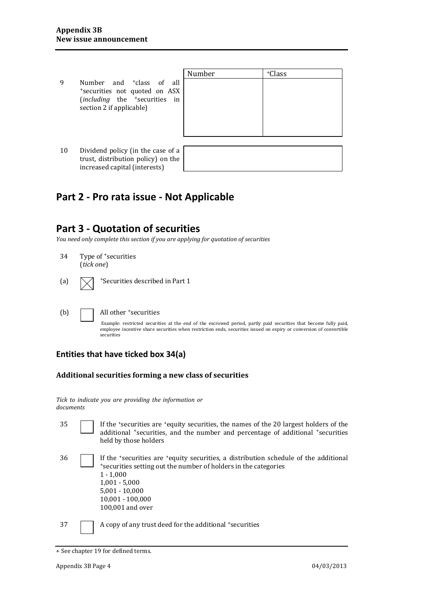- Number | +Class 9 Number and <sup>+</sup>class of all<br><sup>+</sup>securities not quoted on ASX (*including* the <sup>+</sup>securities in section 2 if applicable)
- 10 Dividend policy (in the case of a trust, distribution policy) on the increased capital (interests)

## **Part 2 - Pro rata issue - Not Applicable**

### **Part 3 - Quotation of securities**

*You need only complete this section if you are applying for quotation of securities*

- 34 Type of <sup>+</sup>securities (*tick one*)
- (a)  $\sqrt{\phantom{a}}$  +Securities described in Part 1

#### (b) All other <sup>+</sup>securities

Example: restricted securities at the end of the escrowed period, partly paid securities that become fully paid, employee incentive share securities when restriction ends, securities issued on expiry or conversion of convertible securities

#### **Entities that have ticked box 34(a)**

#### **Additional securities forming a new class of securities**

*Tick to indicate you are providing the information or documents*

- 35 If the +securities are +equity securities, the names of the 20 largest holders of the additional <sup>+</sup>securities, and the number and percentage of additional <sup>+</sup>securities held by those holders <sup>36</sup> If the +securities are +equity securities, a distribution schedule of the additional <sup>+</sup>securities setting out the number of holders in the categories
	- 1 1,000 1,001 - 5,000 5,001 - 10,000 10,001 - 100,000 100,001 and over

37 A copy of any trust deed for the additional + securities

<sup>+</sup> See chapter 19 for defined terms.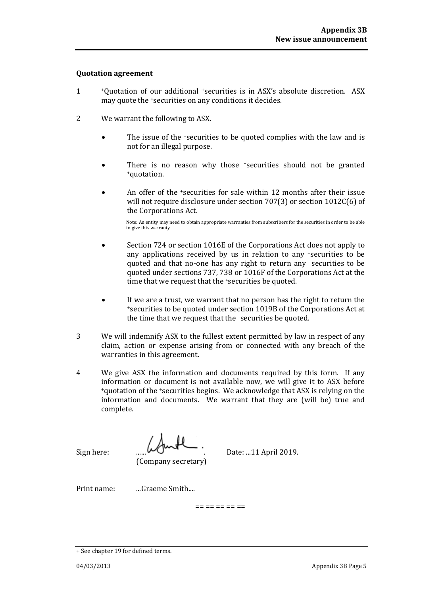#### **Quotation agreement**

- 1 <sup>+</sup>Quotation of our additional <sup>+</sup>securities is in ASX's absolute discretion. ASX may quote the <sup>+</sup>securities on any conditions it decides.
- 2 We warrant the following to ASX.
	- The issue of the <sup>+</sup>securities to be quoted complies with the law and is not for an illegal purpose.
	- There is no reason why those \*securities should not be granted \*quotation.
	- An offer of the +securities for sale within 12 months after their issue will not require disclosure under section 707(3) or section 1012C(6) of the Corporations Act.

Note: An entity may need to obtain appropriate warranties from subscribers for the securities in order to be able to give this warranty

- Section 724 or section 1016E of the Corporations Act does not apply to any applications received by us in relation to any \*securities to be quoted and that no-one has any right to return any +securities to be quoted under sections 737, 738 or 1016F of the Corporations Act at the time that we request that the 'securities be quoted.
- If we are a trust, we warrant that no person has the right to return the <sup>+</sup>securities to be quoted under section 1019B of the Corporations Act at the time that we request that the 'securities be quoted.
- 3 We will indemnify ASX to the fullest extent permitted by law in respect of any claim, action or expense arising from or connected with any breach of the warranties in this agreement.
- 4 We give ASX the information and documents required by this form. If any information or document is not available now, we will give it to ASX before <sup>+</sup>quotation of the <sup>+</sup>securities begins. We acknowledge that ASX is relying on the information and documents. We warrant that they are (will be) true and complete.

(Company secretary)

Sign here:  $\frac{11 \text{ April } 2019.}{...}$ 

Print name: ...Graeme Smith....

== == == == ==

<sup>+</sup> See chapter 19 for defined terms.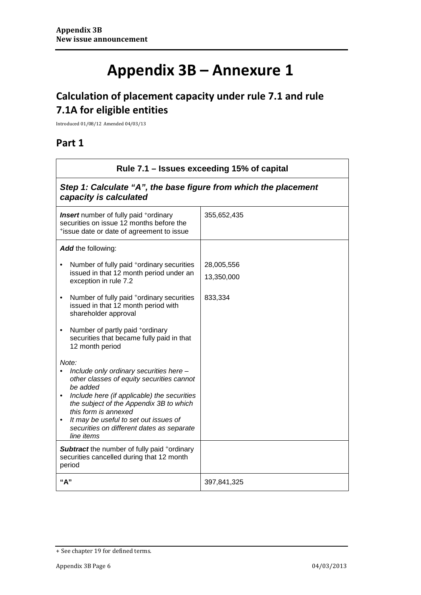# **Appendix 3B – Annexure 1**

## **Calculation of placement capacity under rule 7.1 and rule 7.1A for eligible entities**

Introduced 01/08/12 Amended 04/03/13

## **Part 1**

| Rule 7.1 – Issues exceeding 15% of capital                                                                                                                                                                                                                                                                                                   |                          |  |  |  |
|----------------------------------------------------------------------------------------------------------------------------------------------------------------------------------------------------------------------------------------------------------------------------------------------------------------------------------------------|--------------------------|--|--|--|
| Step 1: Calculate "A", the base figure from which the placement<br>capacity is calculated                                                                                                                                                                                                                                                    |                          |  |  |  |
| <b>Insert</b> number of fully paid +ordinary<br>securities on issue 12 months before the<br>*issue date or date of agreement to issue                                                                                                                                                                                                        | 355,652,435              |  |  |  |
| Add the following:                                                                                                                                                                                                                                                                                                                           |                          |  |  |  |
| Number of fully paid <sup>+</sup> ordinary securities<br>issued in that 12 month period under an<br>exception in rule 7.2                                                                                                                                                                                                                    | 28,005,556<br>13,350,000 |  |  |  |
| Number of fully paid <sup>+</sup> ordinary securities<br>issued in that 12 month period with<br>shareholder approval                                                                                                                                                                                                                         | 833,334                  |  |  |  |
| Number of partly paid +ordinary<br>$\bullet$<br>securities that became fully paid in that<br>12 month period                                                                                                                                                                                                                                 |                          |  |  |  |
| Note:<br>Include only ordinary securities here -<br>other classes of equity securities cannot<br>be added<br>Include here (if applicable) the securities<br>$\bullet$<br>the subject of the Appendix 3B to which<br>this form is annexed<br>It may be useful to set out issues of<br>securities on different dates as separate<br>line items |                          |  |  |  |
| <b>Subtract</b> the number of fully paid +ordinary<br>securities cancelled during that 12 month<br>period                                                                                                                                                                                                                                    |                          |  |  |  |
| "A"                                                                                                                                                                                                                                                                                                                                          | 397,841,325              |  |  |  |

<sup>+</sup> See chapter 19 for defined terms.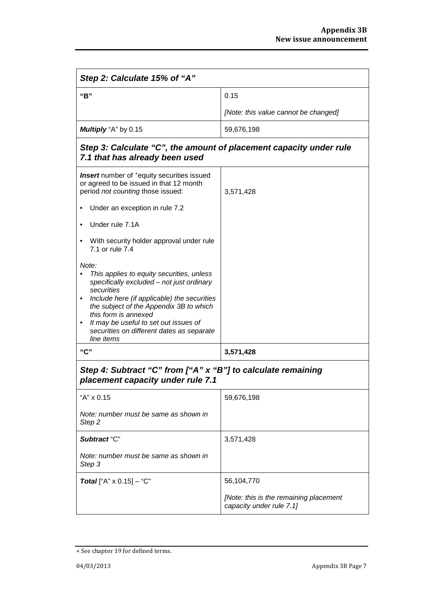| Step 2: Calculate 15% of "A"                                                                                                                                                                                                                                                                                                                     |                                                                    |  |  |  |
|--------------------------------------------------------------------------------------------------------------------------------------------------------------------------------------------------------------------------------------------------------------------------------------------------------------------------------------------------|--------------------------------------------------------------------|--|--|--|
| "B"                                                                                                                                                                                                                                                                                                                                              | 0.15                                                               |  |  |  |
|                                                                                                                                                                                                                                                                                                                                                  | [Note: this value cannot be changed]                               |  |  |  |
| Multiply "A" by 0.15                                                                                                                                                                                                                                                                                                                             | 59,676,198                                                         |  |  |  |
| Step 3: Calculate "C", the amount of placement capacity under rule<br>7.1 that has already been used                                                                                                                                                                                                                                             |                                                                    |  |  |  |
| Insert number of <sup>+</sup> equity securities issued<br>or agreed to be issued in that 12 month<br>period not counting those issued:                                                                                                                                                                                                           | 3,571,428                                                          |  |  |  |
| Under an exception in rule 7.2                                                                                                                                                                                                                                                                                                                   |                                                                    |  |  |  |
| Under rule 7.1A                                                                                                                                                                                                                                                                                                                                  |                                                                    |  |  |  |
| With security holder approval under rule<br>7.1 or rule 7.4                                                                                                                                                                                                                                                                                      |                                                                    |  |  |  |
| Note:<br>This applies to equity securities, unless<br>specifically excluded - not just ordinary<br>securities<br>Include here (if applicable) the securities<br>the subject of the Appendix 3B to which<br>this form is annexed<br>It may be useful to set out issues of<br>$\bullet$<br>securities on different dates as separate<br>line items |                                                                    |  |  |  |
| "C"                                                                                                                                                                                                                                                                                                                                              | 3,571,428                                                          |  |  |  |
| Step 4: Subtract "C" from ["A" x "B"] to calculate remaining<br>placement capacity under rule 7.1                                                                                                                                                                                                                                                |                                                                    |  |  |  |
| "A" x 0.15                                                                                                                                                                                                                                                                                                                                       | 59,676,198                                                         |  |  |  |
| Note: number must be same as shown in<br>Step 2                                                                                                                                                                                                                                                                                                  |                                                                    |  |  |  |
| Subtract "C"                                                                                                                                                                                                                                                                                                                                     | 3,571,428                                                          |  |  |  |
| Note: number must be same as shown in<br>Step 3                                                                                                                                                                                                                                                                                                  |                                                                    |  |  |  |
| <b>Total</b> ["A" $\times$ 0.15] – "C"                                                                                                                                                                                                                                                                                                           | 56,104,770                                                         |  |  |  |
|                                                                                                                                                                                                                                                                                                                                                  | [Note: this is the remaining placement<br>capacity under rule 7.1] |  |  |  |

<sup>+</sup> See chapter 19 for defined terms.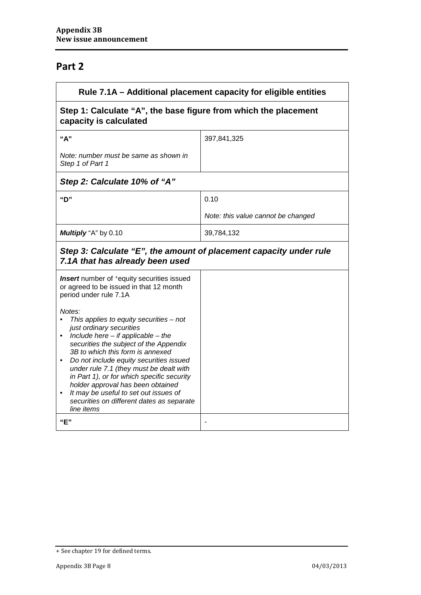## **Part 2**

| Rule 7.1A - Additional placement capacity for eligible entities                                                                                                                                                                                                                                                                                                                                                                                                                                                             |                                    |  |  |  |
|-----------------------------------------------------------------------------------------------------------------------------------------------------------------------------------------------------------------------------------------------------------------------------------------------------------------------------------------------------------------------------------------------------------------------------------------------------------------------------------------------------------------------------|------------------------------------|--|--|--|
| Step 1: Calculate "A", the base figure from which the placement<br>capacity is calculated                                                                                                                                                                                                                                                                                                                                                                                                                                   |                                    |  |  |  |
| "A"                                                                                                                                                                                                                                                                                                                                                                                                                                                                                                                         | 397,841,325                        |  |  |  |
| Note: number must be same as shown in<br>Step 1 of Part 1                                                                                                                                                                                                                                                                                                                                                                                                                                                                   |                                    |  |  |  |
| Step 2: Calculate 10% of "A"                                                                                                                                                                                                                                                                                                                                                                                                                                                                                                |                                    |  |  |  |
| "D"                                                                                                                                                                                                                                                                                                                                                                                                                                                                                                                         | 0.10                               |  |  |  |
|                                                                                                                                                                                                                                                                                                                                                                                                                                                                                                                             | Note: this value cannot be changed |  |  |  |
| Multiply "A" by 0.10                                                                                                                                                                                                                                                                                                                                                                                                                                                                                                        | 39,784,132                         |  |  |  |
| Step 3: Calculate "E", the amount of placement capacity under rule<br>7.1A that has already been used                                                                                                                                                                                                                                                                                                                                                                                                                       |                                    |  |  |  |
| <b>Insert</b> number of <sup>+</sup> equity securities issued<br>or agreed to be issued in that 12 month<br>period under rule 7.1A                                                                                                                                                                                                                                                                                                                                                                                          |                                    |  |  |  |
| Notes:<br>This applies to equity securities $-$ not<br>just ordinary securities<br>$\bullet$ Include here - if applicable - the<br>securities the subject of the Appendix<br>3B to which this form is annexed<br>Do not include equity securities issued<br>$\bullet$<br>under rule 7.1 (they must be dealt with<br>in Part 1), or for which specific security<br>holder approval has been obtained<br>It may be useful to set out issues of<br>$\bullet$<br>securities on different dates as separate<br>line items<br>"E" |                                    |  |  |  |
|                                                                                                                                                                                                                                                                                                                                                                                                                                                                                                                             |                                    |  |  |  |

<sup>+</sup> See chapter 19 for defined terms.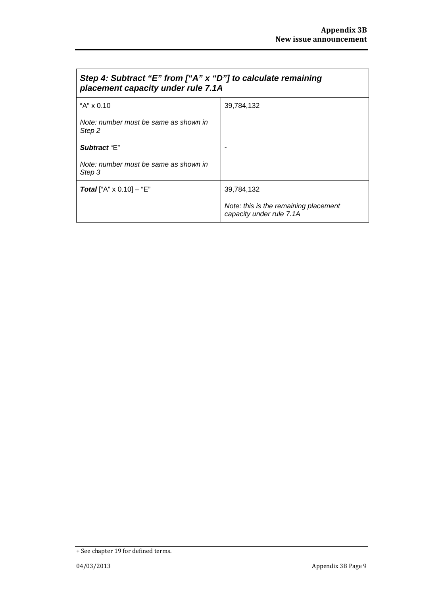$\overline{\phantom{a}}$ 

| Step 4: Subtract "E" from ["A" x "D"] to calculate remaining<br>placement capacity under rule 7.1A |                                                                   |  |
|----------------------------------------------------------------------------------------------------|-------------------------------------------------------------------|--|
| "A" x 0.10                                                                                         | 39,784,132                                                        |  |
| Note: number must be same as shown in<br>Step 2                                                    |                                                                   |  |
| Subtract "E"                                                                                       |                                                                   |  |
| Note: number must be same as shown in<br>Step 3                                                    |                                                                   |  |
| <b>Total</b> ["A" $\times$ 0.10] – "E"                                                             | 39,784,132                                                        |  |
|                                                                                                    | Note: this is the remaining placement<br>capacity under rule 7.1A |  |

<sup>+</sup> See chapter 19 for defined terms.